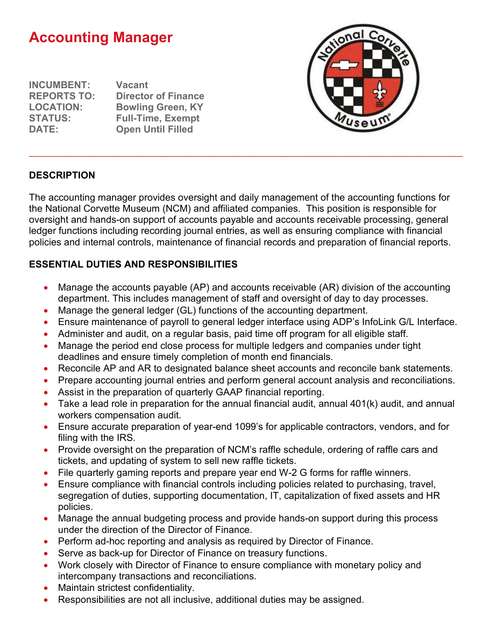# **Accounting Manager**

**INCUMBENT: Vacant**

**REPORTS TO: Director of Finance LOCATION: Bowling Green, KY STATUS: Full-Time, Exempt Open Until Filled** 



#### **DESCRIPTION**

The accounting manager provides oversight and daily management of the accounting functions for the National Corvette Museum (NCM) and affiliated companies. This position is responsible for oversight and hands-on support of accounts payable and accounts receivable processing, general ledger functions including recording journal entries, as well as ensuring compliance with financial policies and internal controls, maintenance of financial records and preparation of financial reports.

\_\_\_\_\_\_\_\_\_\_\_\_\_\_\_\_\_\_\_\_\_\_\_\_\_\_\_\_\_\_\_\_\_\_\_\_\_\_\_\_\_\_\_\_\_\_\_\_\_\_\_\_\_\_\_\_\_\_\_\_\_\_\_\_\_\_\_\_\_\_\_\_\_\_\_\_\_\_\_\_\_\_\_\_\_\_\_\_\_\_

## **ESSENTIAL DUTIES AND RESPONSIBILITIES**

- Manage the accounts payable (AP) and accounts receivable (AR) division of the accounting department. This includes management of staff and oversight of day to day processes.
- Manage the general ledger (GL) functions of the accounting department.
- Ensure maintenance of payroll to general ledger interface using ADP's InfoLink G/L Interface.
- Administer and audit, on a regular basis, paid time off program for all eligible staff.
- Manage the period end close process for multiple ledgers and companies under tight deadlines and ensure timely completion of month end financials.
- Reconcile AP and AR to designated balance sheet accounts and reconcile bank statements.
- Prepare accounting journal entries and perform general account analysis and reconciliations.
- Assist in the preparation of quarterly GAAP financial reporting.
- Take a lead role in preparation for the annual financial audit, annual 401(k) audit, and annual workers compensation audit.
- Ensure accurate preparation of year-end 1099's for applicable contractors, vendors, and for filing with the IRS.
- Provide oversight on the preparation of NCM's raffle schedule, ordering of raffle cars and tickets, and updating of system to sell new raffle tickets.
- File quarterly gaming reports and prepare year end W-2 G forms for raffle winners.
- Ensure compliance with financial controls including policies related to purchasing, travel, segregation of duties, supporting documentation, IT, capitalization of fixed assets and HR policies.
- Manage the annual budgeting process and provide hands-on support during this process under the direction of the Director of Finance.
- Perform ad-hoc reporting and analysis as required by Director of Finance.
- Serve as back-up for Director of Finance on treasury functions.
- Work closely with Director of Finance to ensure compliance with monetary policy and intercompany transactions and reconciliations.
- Maintain strictest confidentiality.
- Responsibilities are not all inclusive, additional duties may be assigned.